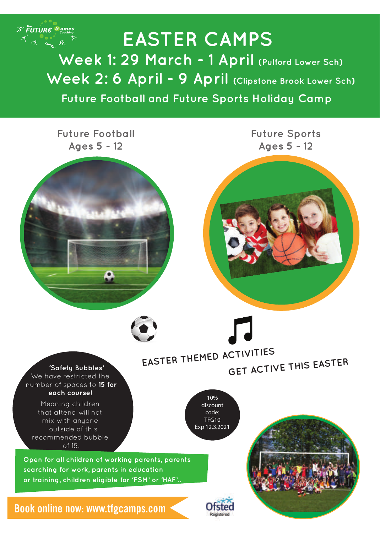

 **Future Football and Future Sports Holiday Camp EASTER CAMPS Week 1: 29 March - 1 April (Pulford Lower Sch)** Week 2: 6 April - 9 April (Clipstone Brook Lower Sch)

**Future Football Ages 5 - 12**

**Future Sports Ages 5 - 12**



**EASTER THEMED ACTIVITIES GET ACTIVE THIS EASTER**

 **'Safety Bubbles'** We have restricted the number of spaces to **15 for each course!**

Meaning children that attend will not mix with anyone outside of this recommended bubble of 15.

**Open for all children of working parents, parents searching for work, parents in education or training, children eligible for 'FSM' or 'HAF'..**

**Book online now: www.tfgcamps.com** 



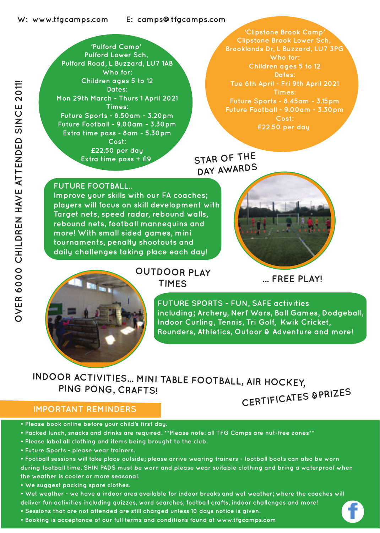**'Pulford Camp' Pulford Lower Sch, Pulford Road, L Buzzard, LU7 1AB Who for: Children ages 5 to 12 Dates: Mon 29th March - Thurs 1 April 2021 Times: Future Sports - 8.50am - 3.20pm Future Football - 9.00am - 3.30pm Extra time pass - 8am - 5.30pm Cost: £22.50 per day Extra time pass + £9**

**'Clipstone Brook Camp' Clipstone Brook Lower Sch, Brooklands Dr, L Buzzard, LU7 3PG Who for: Children ages 5 to 12 Dates: Tue 6th April - Fri 9th April 2021 Times: Future Sports - 8.45am - 3.15pm Cost: £22.50 per day**

## **STAR OF THE DAY AWARDS**

**FUTURE FOOTBALL..** 

Children ages 5 to 12<br>
Times:<br>
The Children ages 5 to 12<br>
Times:<br>
The Children Thurs 1 April 2021<br>
Future Sports - 8.50 am - 5.30 pm<br>
Extra time pass - 8 am - 5.30 pm<br>
Cost:<br>
E22.50 per day<br>
Cost:<br>
Extra time pass + £9<br>
Co **Improve your skills with our FA coaches;**  players will focus on skill development with **Target nets, speed radar, rebound walls, rebound nets, football mannequins and more! With small sided games, mini tournaments, penalty shootouts and daily challenges taking place each day!** 





# **TIMES**

**... FREE PLAY!**

**FUTURE SPORTS - FUN, SAFE activities including; Archery, Nerf Wars, Ball Games, Dodgeball, Indoor Curling, Tennis, Tri Golf, Kwik Cricket, Rounders, Athletics, Outoor & Adventure and more!**

### **CERTIFICATES &PRIZES INDOOR ACTIVITIES... MINI TABLE FOOTBALL, AIR HOCKEY, PING PONG, CRAFTS!**

#### **IMPORTANT REMINDERS**

- **Please book online before your child's first day.**
- **Packed lunch, snacks and drinks are required. \*\*Please note: all TFG Camps are nut-free zones\*\***
- **Please label all clothing and items being brought to the club.**
- **Future Sports please wear trainers.**
- **Football sessions will take place outside; please arrive wearing trainers football boots can also be worn during football time. SHIN PADS must be worn and please wear suitable clothing and bring a waterproof when the weather is cooler or more seasonal.**
- **We suggest packing spare clothes.**
- **Wet weather we have a indoor area available for indoor breaks and wet weather; where the coaches will deliver fun activities including quizzes, word searches, football crafts, indoor challenges and more!**
- **Sessions that are not attended are still charged unless 10 days notice is given.**
- **Booking is acceptance of our full terms and conditions found at www.tfgcamps.com**